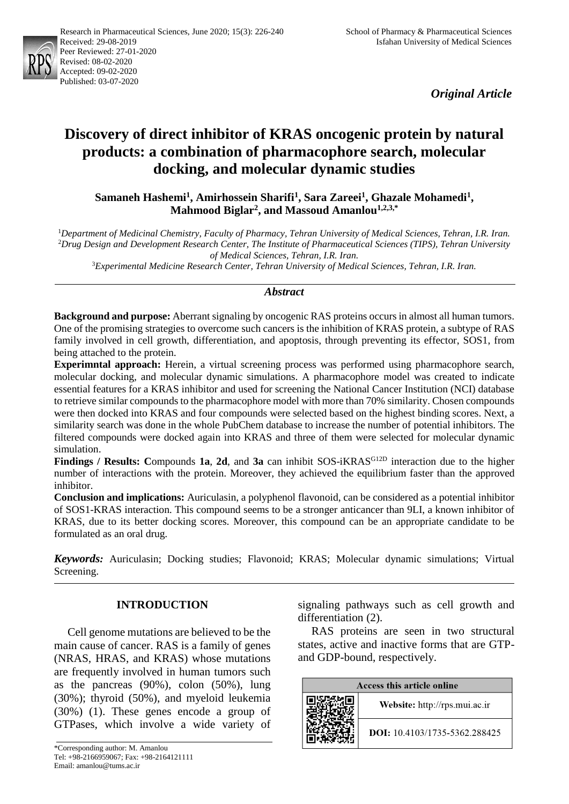

*Original Article*

# **Discovery of direct inhibitor of KRAS oncogenic protein by natural products: a combination of pharmacophore search, molecular docking, and molecular dynamic studies**

**Samaneh Hashemi<sup>1</sup> , Amirhossein Sharifi<sup>1</sup> , Sara Zareei<sup>1</sup> , Ghazale Mohamedi<sup>1</sup> , Mahmood Biglar<sup>2</sup> , and Massoud Amanlou1,2,3,\***

<sup>1</sup>*Department of Medicinal Chemistry, Faculty of Pharmacy, Tehran University of Medical Sciences, Tehran, I.R. Iran.* <sup>2</sup>*Drug Design and Development Research Center, The Institute of Pharmaceutical Sciences (TIPS), Tehran University of Medical Sciences, Tehran, I.R. Iran.*

<sup>3</sup>*Experimental Medicine Research Center, Tehran University of Medical Sciences, Tehran, I.R. Iran.*

### *Abstract*

**Background and purpose:** Aberrant signaling by oncogenic RAS proteins occurs in almost all human tumors. One of the promising strategies to overcome such cancers is the inhibition of KRAS protein, a subtype of RAS family involved in cell growth, differentiation, and apoptosis, through preventing its effector, SOS1, from being attached to the protein.

**Experimntal approach:** Herein, a virtual screening process was performed using pharmacophore search, molecular docking, and molecular dynamic simulations. A pharmacophore model was created to indicate essential features for a KRAS inhibitor and used for screening the National Cancer Institution (NCI) database to retrieve similar compounds to the pharmacophore model with more than 70% similarity. Chosen compounds were then docked into KRAS and four compounds were selected based on the highest binding scores. Next, a similarity search was done in the whole PubChem database to increase the number of potential inhibitors. The filtered compounds were docked again into KRAS and three of them were selected for molecular dynamic simulation.

**Findings / Results: C**ompounds **1a**, **2d**, and **3a** can inhibit SOS-iKRASG12D interaction due to the higher number of interactions with the protein. Moreover, they achieved the equilibrium faster than the approved inhibitor.

**Conclusion and implications:** Auriculasin, a polyphenol flavonoid, can be considered as a potential inhibitor of SOS1-KRAS interaction. This compound seems to be a stronger anticancer than 9LI, a known inhibitor of KRAS, due to its better docking scores. Moreover, this compound can be an appropriate candidate to be formulated as an oral drug.

*Keywords:* Auriculasin; Docking studies; Flavonoid; KRAS; Molecular dynamic simulations; Virtual Screening.

## **INTRODUCTION**

Cell genome mutations are believed to be the main cause of cancer. RAS is a family of genes (NRAS, HRAS, and KRAS) whose mutations are frequently involved in human tumors such as the pancreas (90%), colon (50%), lung (30%); thyroid (50%), and myeloid leukemia (30%) (1). These genes encode a group of GTPases, which involve a wide variety of signaling pathways such as cell growth and differentiation (2).

RAS proteins are seen in two structural states, active and inactive forms that are GTPand GDP-bound, respectively.

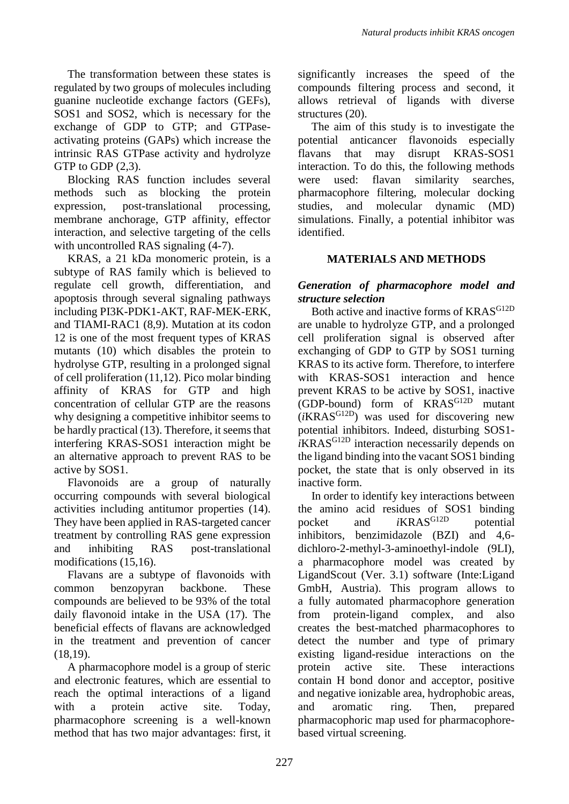The transformation between these states is regulated by two groups of molecules including guanine nucleotide exchange factors (GEFs), SOS1 and SOS2, which is necessary for the exchange of GDP to GTP; and GTPaseactivating proteins (GAPs) which increase the intrinsic RAS GTPase activity and hydrolyze GTP to GDP  $(2,3)$ .

Blocking RAS function includes several methods such as blocking the protein expression, post-translational processing, membrane anchorage, GTP affinity, effector interaction, and selective targeting of the cells with uncontrolled RAS signaling  $(4-7)$ .

KRAS, a 21 kDa monomeric protein, is a subtype of RAS family which is believed to regulate cell growth, differentiation, and apoptosis through several signaling pathways including PI3K-PDK1-AKT, RAF-MEK-ERK, and TIAMI-RAC1 (8,9). Mutation at its codon 12 is one of the most frequent types of KRAS mutants (10) which disables the protein to hydrolyse GTP, resulting in a prolonged signal of cell proliferation (11,12). Pico molar binding affinity of KRAS for GTP and high concentration of cellular GTP are the reasons why designing a competitive inhibitor seems to be hardly practical (13). Therefore, it seems that interfering KRAS-SOS1 interaction might be an alternative approach to prevent RAS to be active by SOS1.

Flavonoids are a group of naturally occurring compounds with several biological activities including antitumor properties (14). They have been applied in RAS-targeted cancer treatment by controlling RAS gene expression and inhibiting RAS post-translational modifications (15,16).

Flavans are a subtype of flavonoids with common benzopyran backbone. These compounds are believed to be 93% of the total daily flavonoid intake in the USA (17). The beneficial effects of flavans are acknowledged in the treatment and prevention of cancer (18,19).

A pharmacophore model is a group of steric and electronic features, which are essential to reach the optimal interactions of a ligand with a protein active site. Today, pharmacophore screening is a well-known method that has two major advantages: first, it significantly increases the speed of the compounds filtering process and second, it allows retrieval of ligands with diverse structures (20).

The aim of this study is to investigate the potential anticancer flavonoids especially flavans that may disrupt KRAS-SOS1 interaction. To do this, the following methods were used: flavan similarity searches, pharmacophore filtering, molecular docking studies, and molecular dynamic (MD) simulations. Finally, a potential inhibitor was identified.

# **MATERIALS AND METHODS**

## *Generation of pharmacophore model and structure selection*

Both active and inactive forms of KRAS<sup>G12D</sup> are unable to hydrolyze GTP, and a prolonged cell proliferation signal is observed after exchanging of GDP to GTP by SOS1 turning KRAS to its active form. Therefore, to interfere with KRAS-SOS1 interaction and hence prevent KRAS to be active by SOS1, inactive (GDP-bound) form of KRASG12D mutant  $(iKRAS^{G12D})$  was used for discovering new potential inhibitors. Indeed, disturbing SOS1 *i*KRASG12D interaction necessarily depends on the ligand binding into the vacant SOS1 binding pocket, the state that is only observed in its inactive form.

In order to identify key interactions between the amino acid residues of SOS1 binding pocket and *i*KRAS<sup>G12D</sup> potential inhibitors, benzimidazole (BZI) and 4,6 dichloro-2-methyl-3-aminoethyl-indole (9LI), a pharmacophore model was created by LigandScout (Ver. 3.1) software (Inte:Ligand GmbH, Austria). This program allows to a fully automated pharmacophore generation from protein-ligand complex, and also creates the best-matched pharmacophores to detect the number and type of primary existing ligand-residue interactions on the protein active site. These interactions contain H bond donor and acceptor, positive and negative ionizable area, hydrophobic areas, and aromatic ring. Then, prepared pharmacophoric map used for pharmacophorebased virtual screening.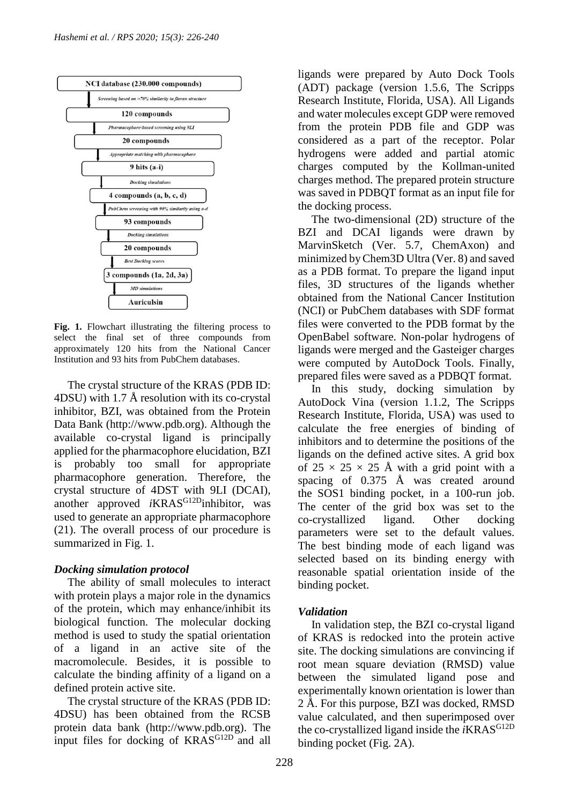

**Fig. 1.** Flowchart illustrating the filtering process to select the final set of three compounds from approximately 120 hits from the National Cancer Institution and 93 hits from PubChem databases.

The crystal structure of the KRAS (PDB ID: 4DSU) with 1.7 Å resolution with its co-crystal inhibitor, BZI, was obtained from the Protein Data Bank (http://www.pdb.org). Although the available co-crystal ligand is principally applied for the pharmacophore elucidation, BZI is probably too small for appropriate pharmacophore generation. Therefore, the crystal structure of 4DST with 9LI (DCAI), another approved *i*KRAS<sup>G12D</sup>inhibitor, was used to generate an appropriate pharmacophore (21). The overall process of our procedure is summarized in Fig. 1.

## *Docking simulation protocol*

The ability of small molecules to interact with protein plays a major role in the dynamics of the protein, which may enhance/inhibit its biological function. The molecular docking method is used to study the spatial orientation of a ligand in an active site of the macromolecule. Besides, it is possible to calculate the binding affinity of a ligand on a defined protein active site.

The crystal structure of the KRAS (PDB ID: 4DSU) has been obtained from the RCSB protein data bank (http://www.pdb.org). The input files for docking of KRAS<sup>G12D</sup> and all ligands were prepared by Auto Dock Tools (ADT) package (version 1.5.6, The Scripps Research Institute, Florida, USA). All Ligands and water molecules except GDP were removed from the protein PDB file and GDP was considered as a part of the receptor. Polar hydrogens were added and partial atomic charges computed by the Kollman-united charges method. The prepared protein structure was saved in PDBQT format as an input file for the docking process.

The two-dimensional (2D) structure of the BZI and DCAI ligands were drawn by MarvinSketch (Ver. 5.7, ChemAxon) and minimized by Chem3D Ultra (Ver. 8) and saved as a PDB format. To prepare the ligand input files, 3D structures of the ligands whether obtained from the National Cancer Institution (NCI) or PubChem databases with SDF format files were converted to the PDB format by the OpenBabel software. Non-polar hydrogens of ligands were merged and the Gasteiger charges were computed by AutoDock Tools. Finally, prepared files were saved as a PDBQT format.

In this study, docking simulation by AutoDock Vina (version 1.1.2, The Scripps Research Institute, Florida, USA) was used to calculate the free energies of binding of inhibitors and to determine the positions of the ligands on the defined active sites. A grid box of  $25 \times 25 \times 25$  Å with a grid point with a spacing of 0.375 Å was created around the SOS1 binding pocket, in a 100-run job. The center of the grid box was set to the co-crystallized ligand. Other docking parameters were set to the default values. The best binding mode of each ligand was selected based on its binding energy with reasonable spatial orientation inside of the binding pocket.

# *Validation*

In validation step, the BZI co-crystal ligand of KRAS is redocked into the protein active site. The docking simulations are convincing if root mean square deviation (RMSD) value between the simulated ligand pose and experimentally known orientation is lower than 2 Å. For this purpose, BZI was docked, RMSD value calculated, and then superimposed over the co-crystallized ligand inside the  $iKRAS<sup>G12D</sup>$ binding pocket (Fig. 2A).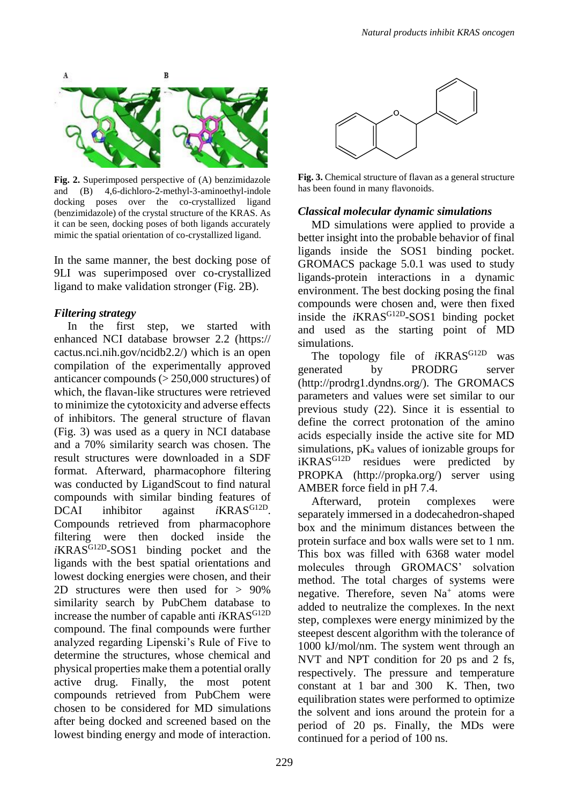

**Fig. 2.** Superimposed perspective of (A) benzimidazole and (B) 4,6-dichloro-2-methyl-3-aminoethyl-indole docking poses over the co-crystallized ligand (benzimidazole) of the crystal structure of the KRAS. As it can be seen, docking poses of both ligands accurately mimic the spatial orientation of co-crystallized ligand.

In the same manner, the best docking pose of 9LI was superimposed over co-crystallized ligand to make validation stronger (Fig. 2B).

### *Filtering strategy*

In the first step, we started with enhanced NCI database browser 2.2 (https:// cactus.nci.nih.gov/ncidb2.2/) which is an open compilation of the experimentally approved anticancer compounds (> 250,000 structures) of which, the flavan-like structures were retrieved to minimize the cytotoxicity and adverse effects of inhibitors. The general structure of flavan (Fig. 3) was used as a query in NCI database and a 70% similarity search was chosen. The result structures were downloaded in a SDF format. Afterward, pharmacophore filtering was conducted by LigandScout to find natural compounds with similar binding features of DCAI inhibitor against *i*KRAS<sup>G12D</sup>. Compounds retrieved from pharmacophore filtering were then docked inside the *i*KRAS<sup>G12D</sup>-SOS1 binding pocket and the ligands with the best spatial orientations and lowest docking energies were chosen, and their 2D structures were then used for > 90% similarity search by PubChem database to increase the number of capable anti *i*KRAS<sup>G12D</sup> compound. The final compounds were further analyzed regarding Lipenski's Rule of Five to determine the structures, whose chemical and physical properties make them a potential orally active drug. Finally, the most potent compounds retrieved from PubChem were chosen to be considered for MD simulations after being docked and screened based on the lowest binding energy and mode of interaction.



**Fig. 3.** Chemical structure of flavan as a general structure has been found in many flavonoids.

### *Classical molecular dynamic simulations*

MD simulations were applied to provide a better insight into the probable behavior of final ligands inside the SOS1 binding pocket. GROMACS package 5.0.1 was used to study ligands-protein interactions in a dynamic environment. The best docking posing the final compounds were chosen and, were then fixed inside the *i*KRAS<sup>G12D</sup>-SOS1 binding pocket and used as the starting point of MD simulations.

The topology file of *i*KRAS<sup>G12D</sup> was generated by PRODRG server (http://prodrg1.dyndns.org/). The GROMACS parameters and values were set similar to our previous study (22). Since it is essential to define the correct protonation of the amino acids especially inside the active site for MD simulations,  $pK_a$  values of ionizable groups for<br>iKRAS<sup>G12D</sup> residues were predicted by residues were predicted by PROPKA (http://propka.org/) server using AMBER force field in pH 7.4.

Afterward, protein complexes were separately immersed in a dodecahedron-shaped box and the minimum distances between the protein surface and box walls were set to 1 nm. This box was filled with 6368 water model molecules through GROMACS' solvation method. The total charges of systems were negative. Therefore, seven  $Na<sup>+</sup>$  atoms were added to neutralize the complexes. In the next step, complexes were energy minimized by the steepest descent algorithm with the tolerance of 1000 kJ/mol/nm. The system went through an NVT and NPT condition for 20 ps and 2 fs, respectively. The pressure and temperature constant at 1 bar and 300 K. Then, two equilibration states were performed to optimize the solvent and ions around the protein for a period of 20 ps. Finally, the MDs were continued for a period of 100 ns.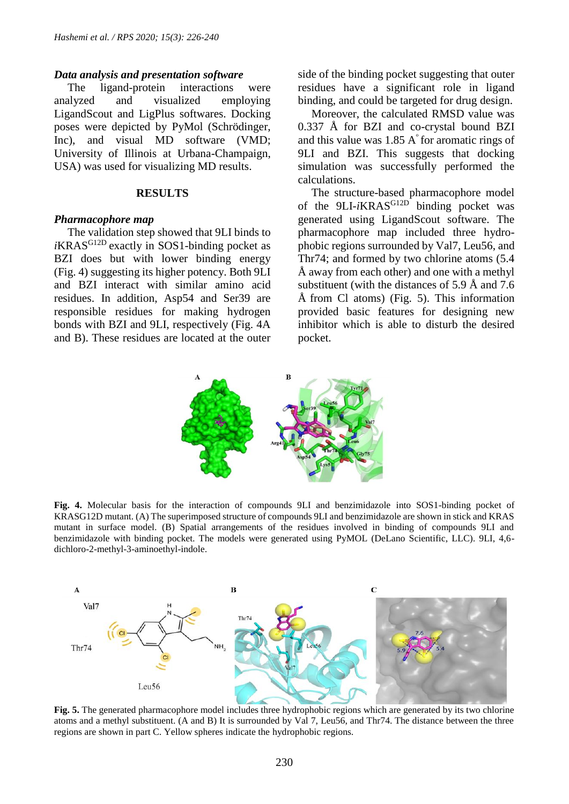#### *Data analysis and presentation software*

The ligand-protein interactions were analyzed and visualized employing LigandScout and LigPlus softwares. Docking poses were depicted by PyMol (Schrödinger, Inc), and visual MD software (VMD; University of Illinois at Urbana-Champaign, USA) was used for visualizing MD results.

#### **RESULTS**

#### *Pharmacophore map*

The validation step showed that 9LI binds to *i*KRAS<sup>G12D</sup> exactly in SOS1-binding pocket as BZI does but with lower binding energy (Fig. 4) suggesting its higher potency. Both 9LI and BZI interact with similar amino acid residues. In addition, Asp54 and Ser39 are responsible residues for making hydrogen bonds with BZI and 9LI, respectively (Fig. 4A and B). These residues are located at the outer side of the binding pocket suggesting that outer residues have a significant role in ligand binding, and could be targeted for drug design.

Moreover, the calculated RMSD value was 0.337 Å for BZI and co-crystal bound BZI and this value was  $1.85 \text{ A}^{\degree}$  for aromatic rings of 9LI and BZI. This suggests that docking simulation was successfully performed the calculations.

The structure-based pharmacophore model of the 9LI-*i*KRAS<sup>G12D</sup> binding pocket was generated using LigandScout software. The pharmacophore map included three hydrophobic regions surrounded by Val7, Leu56, and Thr74; and formed by two chlorine atoms (5.4 Å away from each other) and one with a methyl substituent (with the distances of 5.9 Å and 7.6 Å from Cl atoms) (Fig. 5). This information provided basic features for designing new inhibitor which is able to disturb the desired pocket.



**Fig. 4.** Molecular basis for the interaction of compounds 9LI and benzimidazole into SOS1-binding pocket of KRASG12D mutant. (A) The superimposed structure of compounds 9LI and benzimidazole are shown in stick and KRAS mutant in surface model. (B) Spatial arrangements of the residues involved in binding of compounds 9LI and benzimidazole with binding pocket. The models were generated using PyMOL (DeLano Scientific, LLC). 9LI, 4,6 dichloro-2-methyl-3-aminoethyl-indole.



**Fig. 5.** The generated pharmacophore model includes three hydrophobic regions which are generated by its two chlorine atoms and a methyl substituent. (A and B) It is surrounded by Val 7, Leu56, and Thr74. The distance between the three regions are shown in part C. Yellow spheres indicate the hydrophobic regions.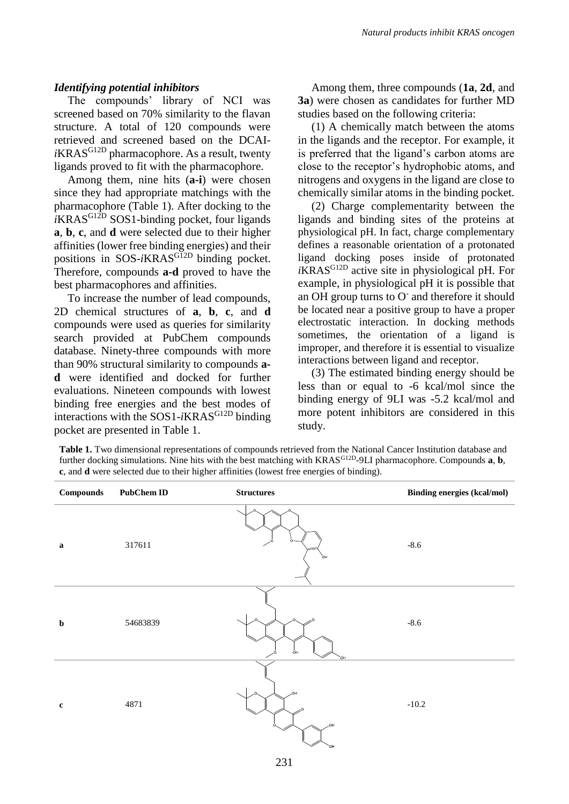#### *Identifying potential inhibitors*

The compounds' library of NCI was screened based on 70% similarity to the flavan structure. A total of 120 compounds were retrieved and screened based on the DCAI*i*KRAS G12D pharmacophore. As a result, twenty ligands proved to fit with the pharmacophore.

Among them, nine hits (**a-i**) were chosen since they had appropriate matchings with the pharmacophore (Table 1). After docking to the  $i$ KRAS<sup>G12D</sup> SOS1-binding pocket, four ligands **a**, **b**, **c**, and **d** were selected due to their higher affinities (lower free binding energies) and their positions in SOS-*i*KRAS<sup>GI2D</sup> binding pocket. Therefore, compounds **a-d** proved to have the best pharmacophores and affinities.

To increase the number of lead compounds, 2D chemical structures of **a**, **b**, **c**, and **d** compounds were used as queries for similarity search provided at PubChem compounds database. Ninety-three compounds with more than 90% structural similarity to compounds **ad** were identified and docked for further evaluations. Nineteen compounds with lowest binding free energies and the best modes of interactions with the SOS1-*i*KRAS<sup>G12D</sup> binding pocket are presented in Table 1.

Among them, three compounds (**1a**, **2d**, and **3a**) were chosen as candidates for further MD studies based on the following criteria:

(1) A chemically match between the atoms in the ligands and the receptor. For example, it is preferred that the ligand's carbon atoms are close to the receptor's hydrophobic atoms, and nitrogens and oxygens in the ligand are close to chemically similar atoms in the binding pocket.

(2) Charge complementarity between the ligands and binding sites of the proteins at physiological pH. In fact, charge complementary defines a reasonable orientation of a protonated ligand docking poses inside of protonated *i*KRASG12D active site in physiological pH. For example, in physiological pH it is possible that an OH group turns to O<sup>-</sup> and therefore it should be located near a positive group to have a proper electrostatic interaction. In docking methods sometimes, the orientation of a ligand is improper, and therefore it is essential to visualize interactions between ligand and receptor.

(3) The estimated binding energy should be less than or equal to -6 kcal/mol since the binding energy of 9LI was -5.2 kcal/mol and more potent inhibitors are considered in this study.

**Table 1.** Two dimensional representations of compounds retrieved from the National Cancer Institution database and further docking simulations. Nine hits with the best matching with KRAS<sup>G12D</sup>-9LI pharmacophore. Compounds **a**, **b**, **c**, and **d** were selected due to their higher affinities (lowest free energies of binding).

| Compounds   | <b>PubChem ID</b> | $\begin{array}{ll} \textbf{Structures} \end{array}$ | <b>Binding energies (kcal/mol)</b> |
|-------------|-------------------|-----------------------------------------------------|------------------------------------|
| $\mathbf a$ | 317611            | 'nı                                                 | $-8.6$                             |
| $\mathbf b$ | 54683839          | $\Omega$<br>O <sub>H</sub><br>`OH                   | $-8.6$                             |
| $\mathbf c$ | 4871              | HO.<br>OH.<br>`ОН                                   | $-10.2$                            |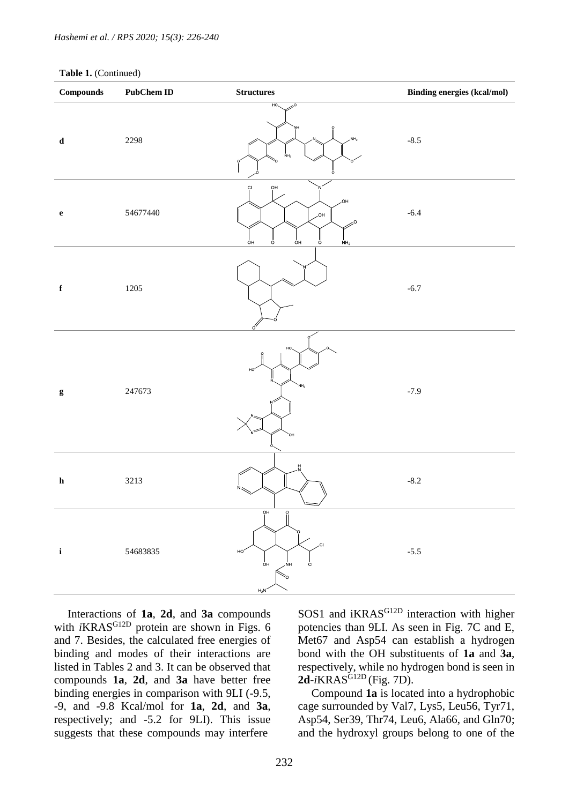|  | Table 1. (Continued) |
|--|----------------------|
|--|----------------------|

| $\label{1.1} Compounds$ | <b>PubChem ID</b> | $\begin{minipage}{.4\linewidth} Structures \end{minipage} \vspace{-0.00\linewidth}$ | <b>Binding energies (kcal/mol)</b> |
|-------------------------|-------------------|-------------------------------------------------------------------------------------|------------------------------------|
| $\mathbf d$             | 2298              | HO,<br>20<br>ŅΗ<br>NH <sub>2</sub><br>NH <sub>2</sub><br>ő                          | $-8.5$                             |
| $\mathbf e$             | 54677440          | ŌН<br>Ċl<br>,OH<br>HO.<br>$\frac{1}{\sigma}$<br>ő<br>oн<br>ÒН<br>NH <sub>2</sub>    | $-6.4$                             |
| $\mathbf f$             | 1205              | ó                                                                                   | $-6.7$                             |
| $\mathbf{g}$            | 247673            | HO.<br>HO <sub>.</sub><br>NH <sub>2</sub><br>OН.                                    | $-7.9$                             |
| ${\bf h}$               | 3213              | H                                                                                   | $-8.2$                             |
| $\mathbf i$             | 54683835          | $\overline{OH}$<br>.CI<br>HO.<br>O <sub>H</sub><br>ĊI<br>ŃH<br>Š0<br>$H_2N$         | $-5.5$                             |

Interactions of **1a**, **2d**, and **3a** compounds with *i*KRAS<sup>G12D</sup> protein are shown in Figs. 6 and 7. Besides, the calculated free energies of binding and modes of their interactions are listed in Tables 2 and 3. It can be observed that compounds **1a**, **2d**, and **3a** have better free binding energies in comparison with 9LI (-9.5, -9, and -9.8 Kcal/mol for **1a**, **2d**, and **3a**, respectively; and -5.2 for 9LI). This issue suggests that these compounds may interfere

SOS1 and iKRAS<sup>G12D</sup> interaction with higher potencies than 9LI. As seen in Fig. 7C and E, Met67 and Asp54 can establish a hydrogen bond with the OH substituents of **1a** and **3a**, respectively, while no hydrogen bond is seen in  $2d - iKRAS^{G12D}$  (Fig. 7D).

Compound **1a** is located into a hydrophobic cage surrounded by Val7, Lys5, Leu56, Tyr71, Asp54, Ser39, Thr74, Leu6, Ala66, and Gln70; and the hydroxyl groups belong to one of the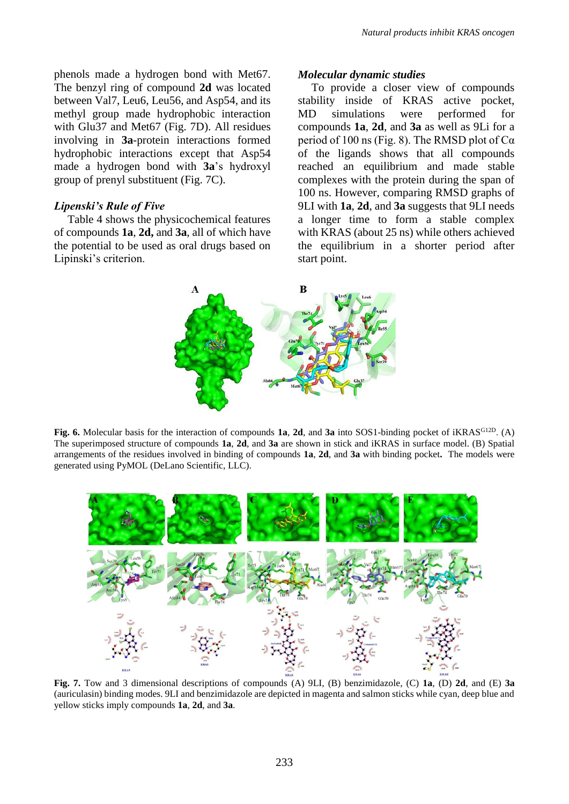phenols made a hydrogen bond with Met67. The benzyl ring of compound **2d** was located between Val7, Leu6, Leu56, and Asp54, and its methyl group made hydrophobic interaction with Glu37 and Met67 (Fig. 7D). All residues involving in **3a**-protein interactions formed hydrophobic interactions except that Asp54 made a hydrogen bond with **3a**'s hydroxyl group of prenyl substituent (Fig. 7C).

#### *Lipenski's Rule of Five*

Table 4 shows the physicochemical features of compounds **1a**, **2d,** and **3a**, all of which have the potential to be used as oral drugs based on Lipinski's criterion.

#### *Molecular dynamic studies*

To provide a closer view of compounds stability inside of KRAS active pocket, MD simulations were performed for compounds **1a**, **2d**, and **3a** as well as 9Li for a period of 100 ns (Fig. 8). The RMSD plot of  $Ca$ of the ligands shows that all compounds reached an equilibrium and made stable complexes with the protein during the span of 100 ns. However, comparing RMSD graphs of 9LI with **1a**, **2d**, and **3a** suggests that 9LI needs a longer time to form a stable complex with KRAS (about 25 ns) while others achieved the equilibrium in a shorter period after start point.



**Fig. 6.** Molecular basis for the interaction of compounds **1a**, **2d**, and **3a** into SOS1-binding pocket of iKRASG12D. (A) The superimposed structure of compounds **1a**, **2d**, and **3a** are shown in stick and iKRAS in surface model. (B) Spatial arrangements of the residues involved in binding of compounds **1a**, **2d**, and **3a** with binding pocket**.** The models were generated using PyMOL (DeLano Scientific, LLC).



**Fig. 7.** Tow and 3 dimensional descriptions of compounds (A) 9LI, (B) benzimidazole, (C) **1a**, (D) **2d**, and (E) **3a** (auriculasin) binding modes. 9LI and benzimidazole are depicted in magenta and salmon sticks while cyan, deep blue and yellow sticks imply compounds **1a**, **2d**, and **3a**.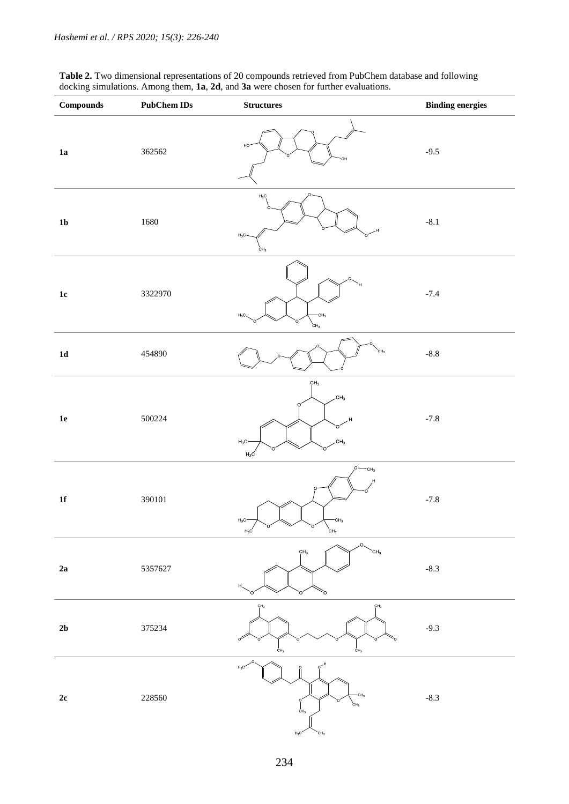**Table 2.** Two dimensional representations of 20 compounds retrieved from PubChem database and following docking simulations. Among them, **1a**, **2d**, and **3a** were chosen for further evaluations.

| <b>Compounds</b> | <b>PubChem IDs</b> | <b>Structures</b>                                                                                                | <b>Binding energies</b> |
|------------------|--------------------|------------------------------------------------------------------------------------------------------------------|-------------------------|
| 1a               | 362562             | HO                                                                                                               | $-9.5$                  |
| 1 <sub>b</sub>   | 1680               | $H_3C$<br>$\Omega$<br>$H_3C$<br>CH <sub>3</sub>                                                                  | $-8.1$                  |
| $1\mathrm{c}$    | 3322970            | CH <sub>3</sub><br>$H_3C$<br>$\overleftarrow{c}$ H <sub>3</sub>                                                  | $-7.4$                  |
| ${\bf 1d}$       | 454890             | CH <sub>3</sub>                                                                                                  | $-8.8$                  |
| $1\mathrm{e}$    | 500224             | CH <sub>3</sub><br>CH <sub>3</sub><br>O<br>H,<br>CH <sub>3</sub><br>$H_3C$<br>O<br>$H_3C$                        | $-7.8$                  |
| ${\bf 1f}$       | 390101             | CH <sub>3</sub><br>CH <sub>3</sub><br>$H_3C$<br>$H_3C$<br>$C_{H_3}$                                              | $-7.8$                  |
| ${\bf 2a}$       | 5357627            | O<br>CH <sub>3</sub><br>CH <sub>3</sub><br>H.<br>Ó.<br>∩                                                         | $-8.3$                  |
| $2\mathbf{b}$    | 375234             | CH <sub>3</sub><br>$\mathsf{CH}_3$<br>∝<br>CH <sub>3</sub><br>CH <sub>3</sub>                                    | $-9.3$                  |
| $2\mathrm{c}$    | 228560             | $\circ^{H}$<br>$H_3C$<br>CH <sub>3</sub><br>$\overleftarrow{c}$ н $_3$<br>$C_{H_3}$<br>$H_3C$<br>CH <sub>3</sub> | $-8.3$                  |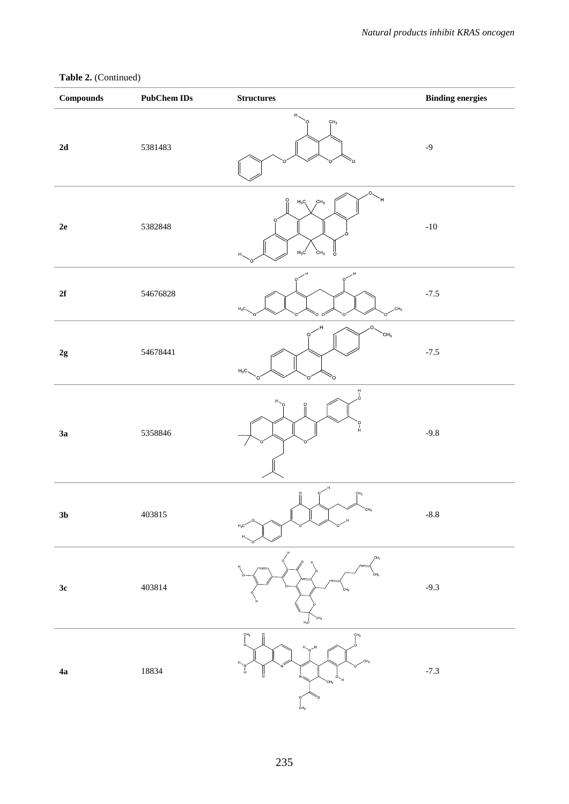### **Table 2.** (Continued)

| $\label{1.1} Compounds$ | <b>PubChem IDs</b> | $\begin{array}{ll} \textbf{Structures} \end{array}$                                                     | <b>Binding energies</b> |
|-------------------------|--------------------|---------------------------------------------------------------------------------------------------------|-------------------------|
| $2\mathbf{d}$           | 5381483            | $H_{\infty}$<br>CH <sub>3</sub>                                                                         | $-9$                    |
| $2\mathrm{e}$           | 5382848            | O,<br>H<br>$\ddot{\Omega}$<br>CH <sub>3</sub><br>$H_3C$<br>$H_3C$<br>CH <sub>3</sub><br>ö<br>Η,         | $\mbox{-}10$            |
| $2\mathbf{f}$           | 54676828           | .H<br>$\Omega$<br>CH <sub>3</sub><br>${\rm H_3C}$<br>o o<br>Ó                                           | $-7.5$                  |
| $2\mathbf{g}$           | 54678441           | O.<br>$\sim$ CH <sub>3</sub><br>$\mathbf{O}$<br>$H_3C$<br>Ó                                             | $-7.5$                  |
| 3a                      | 5358846            | $\frac{H}{I}$<br>Н                                                                                      | $-9.8$                  |
| $3\mathrm{b}$           | 403815             | CH <sub>3</sub><br>CH <sub>3</sub><br>$H_3C$                                                            | $-8.8$                  |
| 3c                      | 403814             | CH <sub>3</sub><br>CH <sub>3</sub><br>$H_3C$                                                            | $-9.3$                  |
| 4a                      | 18834              | CH <sub>3</sub><br>$\Omega$<br>CH <sub>3</sub><br>CH <sub>2</sub><br>CH <sub>3</sub><br>CH <sub>3</sub> | $-7.3$                  |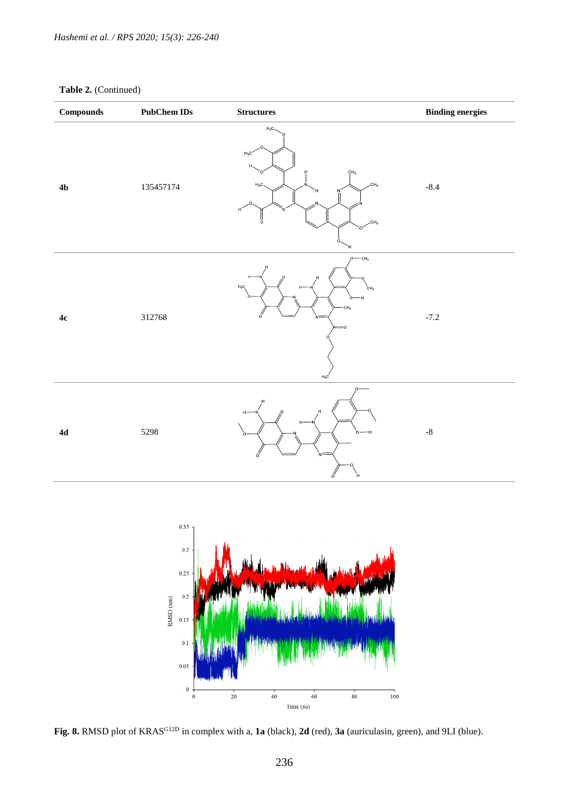### **Table 2.** (Continued)

| $\label{1.1} Compounds$ | <b>PubChem IDs</b> | $\begin{minipage}{.4\linewidth} Structures \end{minipage} \vspace{-0.00\linewidth}$                          | <b>Binding energies</b> |
|-------------------------|--------------------|--------------------------------------------------------------------------------------------------------------|-------------------------|
| $4\mathrm{b}$           | 135457174          | $H_3C$<br>$H_3C$<br>Η<br>CH <sub>3</sub><br>Ņ<br>CH <sub>3</sub><br>$H_3C$<br>ő<br>CH <sub>3</sub><br>∩<br>Ή | $-8.4$                  |
| $4c$                    | 312768             | $\rho$ — $c_{H_3}$<br>$\mathsf{H}_3\mathsf{C}$<br>`сн <sub>з</sub><br>÷.<br>$-CH3$<br>$H_3C$                 | $-7.2$                  |
| $4\mathrm{d}$           | 5298               | $\Omega$<br>$H^2$<br>H<br>ó<br>ó<br>Ή                                                                        | $\text{-}8$             |
|                         |                    |                                                                                                              |                         |



**Fig. 8.** RMSD plot of KRASG12D in complex with a, **1a** (black), **2d** (red), **3a** (auriculasin, green), and 9LI (blue).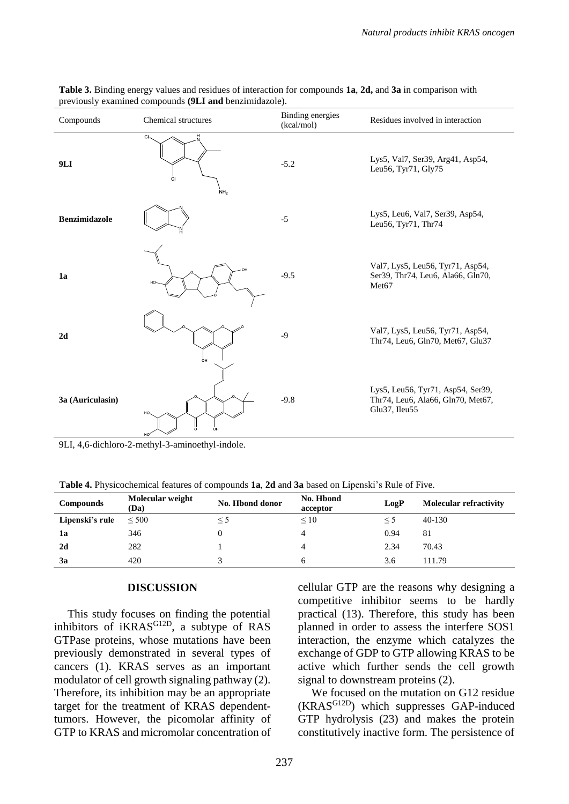| Compounds            | Chemical structures         | Binding energies<br>(kcal/mol) | Residues involved in interaction                                                           |
|----------------------|-----------------------------|--------------------------------|--------------------------------------------------------------------------------------------|
| 9LI                  | CI<br>CI<br>NH <sub>2</sub> | $-5.2$                         | Lys5, Val7, Ser39, Arg41, Asp54,<br>Leu56, Tyr71, Gly75                                    |
| <b>Benzimidazole</b> |                             | $-5$                           | Lys5, Leu6, Val7, Ser39, Asp54,<br>Leu56, Tyr71, Thr74                                     |
| 1a                   | HO-                         | $-9.5$                         | Val7, Lys5, Leu56, Tyr71, Asp54,<br>Ser39, Thr74, Leu6, Ala66, Gln70,<br>Met <sub>67</sub> |
| 2d                   | ÒН                          | $-9$                           | Val7, Lys5, Leu56, Tyr71, Asp54,<br>Thr74, Leu6, Gln70, Met67, Glu37                       |
| 3a (Auriculasin)     | HO.<br>OH                   | $-9.8$                         | Lys5, Leu56, Tyr71, Asp54, Ser39,<br>Thr74, Leu6, Ala66, Gln70, Met67,<br>Glu37, Ileu55    |

**Table 3.** Binding energy values and residues of interaction for compounds **1a**, **2d,** and **3a** in comparison with previously examined compounds **(9LI and** benzimidazole).

9LI, 4,6-dichloro-2-methyl-3-aminoethyl-indole.

**Table 4.** Physicochemical features of compounds **1a**, **2d** and **3a** based on Lipenski's Rule of Five.

| Compounds       | Molecular weight<br>(Da) | No. Hbond donor | No. Hbond<br>acceptor | LogP     | <b>Molecular refractivity</b> |
|-----------------|--------------------------|-----------------|-----------------------|----------|-------------------------------|
| Lipenski's rule | $\leq 500$               | $\leq 5$        | $\leq 10$             | $\leq$ 5 | $40-130$                      |
| 1a              | 346                      |                 | 4                     | 0.94     | 81                            |
| 2d              | 282                      |                 | 4                     | 2.34     | 70.43                         |
| 3a              | 420                      |                 |                       | 3.6      | 111.79                        |

#### **DISCUSSION**

This study focuses on finding the potential inhibitors of iKRAS<sup>G12D</sup>, a subtype of RAS GTPase proteins, whose mutations have been previously demonstrated in several types of cancers (1). KRAS serves as an important modulator of cell growth signaling pathway (2). Therefore, its inhibition may be an appropriate target for the treatment of KRAS dependenttumors. However, the picomolar affinity of GTP to KRAS and micromolar concentration of

cellular GTP are the reasons why designing a competitive inhibitor seems to be hardly practical (13). Therefore, this study has been planned in order to assess the interfere SOS1 interaction, the enzyme which catalyzes the exchange of GDP to GTP allowing KRAS to be active which further sends the cell growth signal to downstream proteins (2).

We focused on the mutation on G12 residue (KRASG12D) which suppresses GAP-induced GTP hydrolysis (23) and makes the protein constitutively inactive form. The persistence of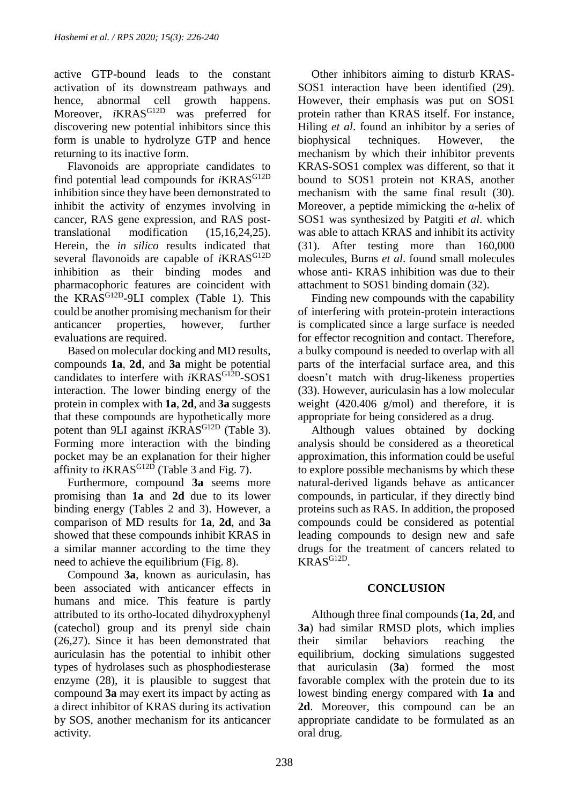active GTP-bound leads to the constant activation of its downstream pathways and hence, abnormal cell growth happens.<br>Moreover,  $iKRAS^{G12D}$  was preferred for Moreover, *i*KRAS<sup>G12D</sup> discovering new potential inhibitors since this form is unable to hydrolyze GTP and hence returning to its inactive form.

Flavonoids are appropriate candidates to find potential lead compounds for *i*KRAS<sup>G12D</sup> inhibition since they have been demonstrated to inhibit the activity of enzymes involving in cancer, RAS gene expression, and RAS posttranslational modification (15,16,24,25). Herein, the *in silico* results indicated that several flavonoids are capable of *i*KRAS<sup>G12D</sup> inhibition as their binding modes and pharmacophoric features are coincident with the KRAS<sup>G12D</sup>-9LI complex (Table 1). This could be another promising mechanism for their anticancer properties, however, further evaluations are required.

Based on molecular docking and MD results, compounds **1a**, **2d**, and **3a** might be potential candidates to interfere with *i*KRAS<sup>G12D</sup>-SOS1 interaction. The lower binding energy of the protein in complex with **1a**, **2d**, and **3a** suggests that these compounds are hypothetically more potent than 9LI against *i*KRAS<sup>G12D</sup> (Table 3). Forming more interaction with the binding pocket may be an explanation for their higher affinity to  $iKRAS^{G12D}$  (Table 3 and Fig. 7).

Furthermore, compound **3a** seems more promising than **1a** and **2d** due to its lower binding energy (Tables 2 and 3). However, a comparison of MD results for **1a**, **2d**, and **3a** showed that these compounds inhibit KRAS in a similar manner according to the time they need to achieve the equilibrium (Fig. 8).

Compound **3a**, known as auriculasin, has been associated with anticancer effects in humans and mice. This feature is partly attributed to its ortho-located dihydroxyphenyl (catechol) group and its prenyl side chain (26,27). Since it has been demonstrated that auriculasin has the potential to inhibit other types of hydrolases such as phosphodiesterase enzyme (28), it is plausible to suggest that compound **3a** may exert its impact by acting as a direct inhibitor of KRAS during its activation by SOS, another mechanism for its anticancer activity.

Other inhibitors aiming to disturb KRAS-SOS1 interaction have been identified (29). However, their emphasis was put on SOS1 protein rather than KRAS itself. For instance, Hiling *et al*. found an inhibitor by a series of biophysical techniques. However, the mechanism by which their inhibitor prevents KRAS-SOS1 complex was different, so that it bound to SOS1 protein not KRAS, another mechanism with the same final result (30). Moreover, a peptide mimicking the α-helix of SOS1 was synthesized by Patgiti *et al*. which was able to attach KRAS and inhibit its activity (31). After testing more than 160,000 molecules, Burns *et al*. found small molecules whose anti- KRAS inhibition was due to their attachment to SOS1 binding domain (32).

Finding new compounds with the capability of interfering with protein-protein interactions is complicated since a large surface is needed for effector recognition and contact. Therefore, a bulky compound is needed to overlap with all parts of the interfacial surface area, and this doesn't match with drug-likeness properties (33). However, auriculasin has a low molecular weight (420.406 g/mol) and therefore, it is appropriate for being considered as a drug.

Although values obtained by docking analysis should be considered as a theoretical approximation, this information could be useful to explore possible mechanisms by which these natural-derived ligands behave as anticancer compounds, in particular, if they directly bind proteins such as RAS. In addition, the proposed compounds could be considered as potential leading compounds to design new and safe drugs for the treatment of cancers related to KRASG12D .

## **CONCLUSION**

Although three final compounds (**1a**, **2d**, and **3a**) had similar RMSD plots, which implies their similar behaviors reaching the equilibrium, docking simulations suggested that auriculasin (**3a**) formed the most favorable complex with the protein due to its lowest binding energy compared with **1a** and 2d. Moreover, this compound can be an appropriate candidate to be formulated as an oral drug.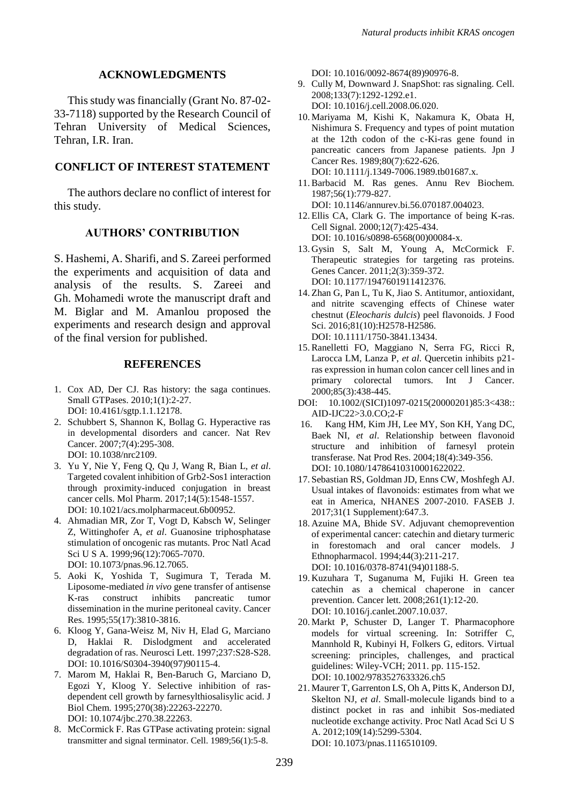#### **ACKNOWLEDGMENTS**

This study was financially (Grant No. 87-02- 33-7118) supported by the Research Council of Tehran University of Medical Sciences, Tehran, I.R. Iran.

#### **CONFLICT OF INTEREST STATEMENT**

The authors declare no conflict of interest for this study.

#### **AUTHORS' CONTRIBUTION**

S. Hashemi, A. Sharifi, and S. Zareei performed the experiments and acquisition of data and analysis of the results. S. Zareei and Gh. Mohamedi wrote the manuscript draft and M. Biglar and M. Amanlou proposed the experiments and research design and approval of the final version for published.

#### **REFERENCES**

- 1. Cox AD, Der CJ. Ras history: the saga continues. Small GTPases. 2010;1(1):2-27. DOI: 10.4161/sgtp.1.1.12178.
- 2. Schubbert S, Shannon K, Bollag G. Hyperactive ras in developmental disorders and cancer. Nat Rev Cancer. 2007;7(4):295-308. DOI: 10.1038/nrc2109.
- 3. Yu Y, Nie Y, Feng Q, Qu J, Wang R, Bian L, *et al*. Targeted covalent inhibition of Grb2-Sos1 interaction through proximity-induced conjugation in breast cancer cells. Mol Pharm. 2017;14(5):1548-1557. DOI: 10.1021/acs.molpharmaceut.6b00952.
- 4. Ahmadian MR, Zor T, Vogt D, Kabsch W, Selinger Z, Wittinghofer A, *et al*. Guanosine triphosphatase stimulation of oncogenic ras mutants. Proc Natl Acad Sci U S A. 1999;96(12):7065-7070. DOI: 10.1073/pnas.96.12.7065.
- 5. Aoki K, Yoshida T, Sugimura T, Terada M. Liposome-mediated *in vivo* gene transfer of antisense K-ras construct inhibits pancreatic tumor dissemination in the murine peritoneal cavity. Cancer Res. 1995;55(17):3810-3816.
- 6. Kloog Y, Gana-Weisz M, Niv H, Elad G, Marciano D, Haklai R. Dislodgment and accelerated degradation of ras. Neurosci Lett. 1997;237:S28-S28. DOI: 10.1016/S0304-3940(97)90115-4.
- 7. Marom M, Haklai R, Ben-Baruch G, Marciano D, Egozi Y, Kloog Y. Selective inhibition of rasdependent cell growth by farnesylthiosalisylic acid. J Biol Chem. 1995;270(38):22263-22270. DOI: 10.1074/jbc.270.38.22263.
- 8. McCormick F. Ras GTPase activating protein: signal transmitter and signal terminator. Cell. 1989;56(1):5-8.

DOI: 10.1016/0092-8674(89)90976-8.

- 9. Cully M, Downward J. SnapShot: ras signaling. Cell. 2008;133(7):1292-1292.e1. DOI: 10.1016/j.cell.2008.06.020.
- 10. Mariyama M, Kishi K, Nakamura K, Obata H, Nishimura S. Frequency and types of point mutation at the 12th codon of the c-Ki-ras gene found in pancreatic cancers from Japanese patients. Jpn J Cancer Res. 1989;80(7):622-626. DOI: 10.1111/j.1349-7006.1989.tb01687.x.
- 11.Barbacid M. Ras genes. Annu Rev Biochem. 1987;56(1):779-827.

DOI: 10.1146/annurev.bi.56.070187.004023.

- 12. Ellis CA, Clark G. The importance of being K-ras. Cell Signal. 2000;12(7):425-434. DOI: 10.1016/s0898-6568(00)00084-x.
- 13. Gysin S, Salt M, Young A, McCormick F. Therapeutic strategies for targeting ras proteins. Genes Cancer. 2011;2(3):359-372. DOI: 10.1177/1947601911412376.
- 14. Zhan G, Pan L, Tu K, Jiao S. Antitumor, antioxidant, and nitrite scavenging effects of Chinese water chestnut (*Eleocharis dulcis*) peel flavonoids. J Food Sci. 2016;81(10):H2578-H2586. DOI: 10.1111/1750-3841.13434.
- 15.Ranelletti FO, Maggiano N, Serra FG, Ricci R, Larocca LM, Lanza P, *et al*. Quercetin inhibits p21 ras expression in human colon cancer cell lines and in primary colorectal tumors. Int J Cancer. 2000;85(3):438-445.
- DOI: 10.1002/(SICI)1097-0215(20000201)85:3<438:: AID-IJC22>3.0.CO;2-F
- 16. Kang HM, Kim JH, Lee MY, Son KH, Yang DC, Baek NI, *et al*. Relationship between flavonoid structure and inhibition of farnesyl protein transferase. Nat Prod Res. 2004;18(4):349-356. DOI: 10.1080/14786410310001622022.
- 17. Sebastian RS, Goldman JD, Enns CW, Moshfegh AJ. Usual intakes of flavonoids: estimates from what we eat in America, NHANES 2007-2010. FASEB J. 2017;31(1 Supplement):647.3.
- 18. Azuine MA, Bhide SV. Adjuvant chemoprevention of experimental cancer: catechin and dietary turmeric in forestomach and oral cancer models. J Ethnopharmacol. 1994;44(3):211-217. DOI: 10.1016/0378-8741(94)01188-5.
- 19. Kuzuhara T, Suganuma M, Fujiki H. Green tea catechin as a chemical chaperone in cancer prevention. Cancer lett. 2008;261(1):12-20. DOI: 10.1016/j.canlet.2007.10.037.
- 20. Markt P, Schuster D, Langer T. Pharmacophore models for virtual screening. In: Sotriffer C, Mannhold R, Kubinyi H, Folkers G, editors. Virtual screening: principles, challenges, and practical guidelines: Wiley-VCH; 2011. pp. 115-152. DOI: [10.1002/9783527633326.ch5](https://doi.org/10.1002/9783527633326.ch5)
- 21. Maurer T, Garrenton LS, Oh A, Pitts K, Anderson DJ, Skelton NJ, *et al*. Small-molecule ligands bind to a distinct pocket in ras and inhibit Sos-mediated nucleotide exchange activity. Proc Natl Acad Sci U S A. 2012;109(14):5299-5304. DOI: 10.1073/pnas.1116510109.